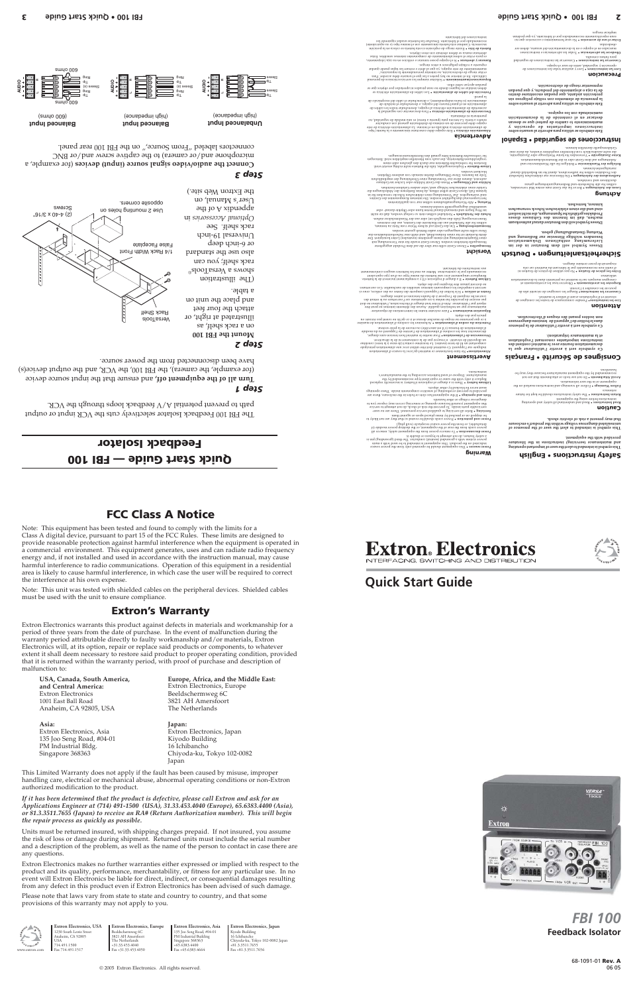Anaheim, CA 92805, USA

Beeldschermweg 6C<br>3821 AH Amersfoort

© 2005 Extron Electronics. All rights reserved.

**Extron Electronics, USA** 1230 South Lewis Street Anaheim, CA 92805 USA 714.491.1500 Fax 714.491.1517

**Extron Electronics, Europe** Beeldschermweg 6C 3821 AH Amersfoort The Netherlands +31.33.453.4040 Fax +31.33.453.4050 www.extron.com Fax +81.3.3511.7656 **Extron Electronics, Asia** 135 Joo Seng Road, #04-01 PM Industrial Building Singapore 368363 +65.6383.4400 Fax +65.6383.4664

**Extron Electronics, Japan** Kyodo Building 16 Ichibancho Chiyoda-ku, Tokyo 102-0082 Japan +81.3.3511.7655



**Quick Start Guide**



# **Feedback Isolator** *FBI 100*

68-1091-01 **Rev. A** 06 05

**This symbol is intended to alert the user of important operating and maintenance (servicing) instructions in the literature provided with the equipment.**

that may present a risk of electric shock.<br>uninsulated dangerous voltage within the product's enclosure<br>that may present a risk of electric shock.

**Caution** Read and understand all safety and operating **Instructions • Read** instructions before using the equipment.

The safety instructions should be kept for future **Retain Instructions •**  reference. Follow all warnings and instructions marked on the **Follow Warnings •**  equipment or in the user information.

Do not use to have a formulated by the extension of a set and a performated pay be per not use of a pay be a s<br>recomment of a pay of the equipment manufacturer because they may be<br>have an interval by the equipment of the s

### Consignes de Sécurité • Français<br>Consignes de Sécurité **·** Français

et la maintenance de la matéricion).<br>Bolitis de la matériel des la matériel des la matérie<br>documentation fournie avec le matériel des la mainten<br>distructions importantes de la matéria de la matérie de<br>missiolay l'instructi

Observer tous les avertissements et **Respecter les avertissements •**  consignes marqués sur le matériel ou présentés dans la documentation utilisateur. Ne present de poser certains dangers.<br>C utilis non ron rocommandés par les préces de pièces de fixation ni<br>d'out les pièces **de fixation e** Ne par utiliser de pièces de rixation ni

**Ce symbole sert à avertir l'utilisateur de la présence dans le boîtier de l'appareil de tensions dangereuses non isolées posant des risques d'électrocution.**

**Attention** Prendre connaissance de toutes les consignes de **Lire les instructions•**  sécurité et d'exploitation avant d'utiliser le matériel.

Ranger les consignes de sécurité afin de **Conserver les instructions•**  pouvoir les consulter à l'avenir.

tim gnubnowrad) onia ub abuw ristac) asselCl .tobrow nodestral ub morth mord.<br>1911 - The property and the manuscup more than the mail and the mail and the mail of the konzipert.<br>1911 - The mail and the mail einem grow and • Um das Gerät auf sichere Weise vom Netz zu trennen, **Stromunterbrechung**  sollten Sie alle Netzkabel aus der Rückseite des Gerätes, aus der externen Stomversorgung (falls dies möglich ist) oder aus der Wandsteckdose ziehen. • Netzkabel sollten stets so verlegt werden, daß sie nicht **Schutz des Netzkabels**  im Weg liegen und niemand darauf treten kann oder Objekte darauf- oder

### **Safety Instructions • English**

indiquée sur l'appareil. Ce matériel doit être utilisé avec une alimentation principale comportant un fil de terre (neutre). Le troisième contact (de mise à la terre) constitue -system as the special constraints and any analysis of interesting and an analysis of the system as a constrained and an analysis of the system as a constrained by a system and a constrained by a system and a system and a à ce que personne ne risque de marcher dessus et à ce qu'ils ne soient pas écrasés ou

pincés par des objets.

puentearia ni eliminaria.<br>neutro es tierra La tercera pata (puesta a tierra) es una medida de seguridad, no<br>puentearia de la tercera de seguente de sistema de seguridad de seguridad, no Para desconectar con seguridad la **Desconexión de alimentación eléctrica •**  acometida de alimentación eléctrica al equipo, desenchufar todos los cables de alimentación en el panel trasero del equipo, o desenchufar el módulo de

Los cables de alimentación eléctrica se **Protección del cables de alimentación •**  as anb sojalgo 10d sopeja1de ju sopesid ueas ou apuop sa1e8nj ua 1ejejsuj uagap

Faire exécuter toutes les interventions de réparation- **Réparation-maintenance •**  maintenance par un technicien qualifié. Aucun des éléments internes ne peut être réparé par l'utilisateur. Afin d'éviter tout danger d'électrocution, l'utilisateur ne doit pas essayer de procéder lui-même à ces opérations car l'ouverture ou le retrait des couvercles risquent de l'exposer à de hautes tensions et autres dangers. Foxtuso , esoittro es b uo estrat es do stropono i la seguida de la construcción en la construcción en la cont<br>estrat en la construcción en la construcción en la construcción en surchautiker. Ces ourvertures<br>estrat de la c Remplacer uniquement avec une batterie du meme type ou d'un ype equivalent recommande par le constructeur. Mettre au reut les batteries usagees conformement

aux instructions du fabricant.

The FBI 100 Feedback Isolator selectively cuts the VCR input or output path to prevent potential A/V feedback loops the VCR.

dəəp youi-9 10 Universal 19-inch rack shelf. See

 $\mathcal{A}$  and  $\mathcal{A}$  of  $\mathcal{A}$  is properly User's Manual, on

 (for example, a **Connect the audio/video signal source (input) devices** microphone and/or camera) to the captive screw and/or BNC connectors labeled "From Source," on the FBI 100 rear panel.

#### **Sicherheitsanleitungen • Deutsch Vorsicht** • Dieses Gerät sollte nur über die auf dem Produkt angegebene **Stromquellen**

mi 195 mi 1951<br>Benutzer in dem Benutzer in dedication<br>Lieferumfang enthaltung gebenung and<br>besonger wichtige Hing (Instandent<br>besongen Benung) geben.<br>Benung (Instandhaltung) geben.

mesziomius iusnab isariunad nobiloe lodmy2 essoiC<br>essoib essuaño 2 esb noronn mar la ab , norbam<br>trodukitegga est divididade di divididade sistemori<br>indidade in divididade divididade divididade<br>norbasturov xlonb2 norbertix

**achten Sie alle Sicherheits-und Bedienungsanleitungen was Jesusu<br>Lesen der Anleitungen • Bevor Sie das Gerät zum ersten Mal verwenden,<br><b>Ball JAM Der Anleitungen in Sie aus Sie aus Sie aus der Anleitung**en uəyətsiəv bin qəsəldətib.

• Die Hinweise zur elektrischen Sicherheit **Aufbewahren der Anleitungen**  des Produktes sollten Sie aufbewahren, damit Sie im Bedarfsfall darauf zurückgreifen können.

• Befolgen Sie alle Warnhinweise und **Befolgen der Warnhinweise**  Anleitungen auf dem Gerät oder in der Benutzerdokumentation.

• Verwenden Sie keine Werkzeuge oder Zusatzgeräte, **Keine Zusatzgeräte**  die nicht ausdrücklich vom Hersteller empfohlen wurden, da diese eine Gefahrenquelle darstellen können.

malfunction to: **USA, Canada, South America, Europe, Africa, and the Middle East: and Central America:** Extron Electronics, Europe<br>
Extron Electronics<br> **Beeldschermweg 6C** 

1001 East Ball Road 3821 AH Amersfoot and a street and a street and street and street and street and street and street and street and street and street and street and street and street and street and street and street and

Extron Electronics, Japan Chiyoda-ku, Tokyo 102-0082 Japan

unmittelbar dagegengestellt werden können. • Alle Wartungsmaßnahmen sollten nur von qualifiziertem **Wartung**  Servicepersonal durchgeführt werden. Die internen Komponenten des Gerätes sind wartungsfrei. Zur Vermeidung eines elektrischen Schocks versuchen Sie in keinem Fall, dieses Gerät selbst öffnen, da beim Entfernen der Abdeckungen die Gefahr eines elektrischen Schlags und/oder andere Gefahren bestehen. • Wenn das Gerät Schlitze oder Löcher im Gehäuse **Schlitze und Öffnungen**  antweist, dienen diese zur Vermeidung einer Uberhitzung der empfindlichen Teile im Inneren. Diese Öffnungen dürfen niemals von anderen Objekten

blockiert werden.

**Advertencia** 

pueda upos se copre ellos.

• Explosionsgefahr, falls die Batterie nicht richtig ersetzt wird. **Litium-Batterie**  Ersetzen Sie verbrauchte Batterien nur durch den gleichen oder einen vergleichbaren Batterietyp, der auch vom Hersteller empfohlen wird. Entsorgen Sie verbrauchte Batterien bitte gemäß den Herstelleranweisungen.

**Precaucion** Leer y analizar todas las instrucciones de **Leer las instrucciones •**  operación y seguridad, antes de usar el equipo. Conservar las instrucciones de seguridad **Conservar las instrucciones •**  para futura consulta.

Todas las advertencias e instrucciones **Obedecer las advertencias •**  marcadas en ednibo o en la documentación de usuario, desde usuario, desenvolver ana obedecidas. No usar herramientas o accesorios que no **Evitar el uso de accesorios •**  sean especificamente recomendados por el fabricante, ya que podrian

implicar riesgos.

la pared.

Solicitar siempre los servicios técnicos de personal **Reparaciones/mantenimiento •**  calificado. En el interior no hay partes a las que el usuario deba acceder. Para exbneap e a opples beplaceoa n otroa riesgos.<br>mantenimiento de este edripo? Na din epi epi personajusa personalmente din epi este personalmente din epi din<br>expuesto de electrocución, no intentar personalmente la reparación Si el equipo posee ranuras o orificios en su caja/alojamiento, **Ranuras y aberturas •**  eperturas nunca se qepen obstruir con otros opjetos.<br>aperturas nunca se deben obstruir con otros objetos. Existe riesgo de explosión si esta batería se coloca en la posición **Batería de litio •**  incorrecta. Cambiar esta batería únicamente con el mismo tipo (o su equivalente) recomendado por el fabricante. Desachar las baterías usadas siguiendo las

.<br>Independent de cable del rec

de alimentación eléctrica indicada en eléctrica<br>indicada en eléctrica de estectrica de estectrica de estectrica de estectrica de estectrica de estectrica de<br>indicada en eléctrica de estectrica de estectrica de estectrica d

instrucciones del fabricante.

# **Instrucciones de seguridad • Español**

sudosoitauau fatiravba ataqastilin seolodmia sha<br>Textoria sharqa batan sharbon ataqash sa sup (eshtq sh oidma: o) oinsiminsinam<br>narseb sa sup (eshtq sh oidma: o) oinsiminsinam<br>narseb sa sharbon sha oinsiminsinam<br>narsebilin

Side simular la ritravba ando ascilitu se olodmia sizi<br>orizo sova pictoria della controla della contrane della<br>orizo se simulare della controla della contrane della<br>orizo della controla della controla della controla della<br>

## *Step 1*

Turn all of the equipment off, and ensure that input source device (for example, the camera), the FBI 100, the VCR, and the output device(s)

have been disconnected from the power source.

# *Step 2*

**Mount the FBI 100** on a rack shelf, as illustrated at right, or attach the four feet and byes the unit on a table. (The illustration shows a VersaTools®

rack shelf; you can

# *Step 3*



# **Extron. Electronics** NTERFACING, SWITCHING AND DISTRIBUTION

**Dimension of the parallite of the parallite of the component of the parallite of the parallite of the parallite of the parallite of the parallite of the parallite of the parallite of the parallite of the parallite of the** 

Similate of the state of the state of the state of the content of the state of the state of the state of the state of the state of the state of the state of the state of the state of the state of the state of the state of

Libhout is a "There is a dagree of used being the manufacturer's set of the signal way to the set of the set o<br>manufacturer. The virth the assume of the transfer to the chemical set of the set of the set of the set of the<br>

# **FCC Class A Notice**

Note: This equipment has been tested and found to comply with the limits for a Class A digital device, pursuant to part 15 of the FCC Rules. These limits are designed to provide reasonable protection against harmful interference when the equipment is operated in a commercial environment. This equipment generates, uses and can radiate radio frequency energy and, if not installed and used in accordance with the instruction manual, may cause harmful interference to radio communications. Operation of this equipment in a residential

area is likely to cause harmful interference, in which case the user will be required to correct the interference at his own expense. Note: This unit was tested with shielded cables on the peripheral devices. Shielded cables must be used with the unit to ensure compliance.

# **Extron's Warranty**

Extron Electronics warrants this product against defects in materials and workmanship for a period of three years from the date of purchase. In the event of malfunction during the warranty period attributable directly to faulty workmanship and/or materials, Extron Electronics will, at its option, repair or replace said products or components, to whatever extent it shall deem necessary to restore said product to proper operating condition, provided that it is returned within the warranty period, with proof of purchase and description of



**Asia: Japan:** 135 Joo Seng Road, #04-01 Kiyodo Building PM Industrial Bldg. 16 Ichibancho

This Limited Warranty does not apply if the fault has been caused by misuse, improper handling care, electrical or mechanical abuse, abnormal operating conditions or non-Extron authorized modification to the product.

*If it has been determined that the product is defective, please call Extron and ask for an Applications Engineer at (714) 491-1500 (USA), 31.33.453.4040 (Europe), 65.6383.4400 (Asia), or 81.3.3511.7655 (Japan) to receive an RA# (Return Authorization number). This will begin the repair process as quickly as possible.*

Units must be returned insured, with shipping charges prepaid. If not insured, you assume the risk of loss or damage during shipment. Returned units must include the serial number and a description of the problem, as well as the name of the person to contact in case there are any questions.

Extron Electronics makes no further warranties either expressed or implied with respect to the product and its quality, performance, merchantability, or fitness for any particular use. In no event will Extron Electronics be liable for direct, indirect, or consequential damages resulting from any defect in this product even if Extron Electronics has been advised of such damage.

Please note that laws vary from state to state and country to country, and that some provisions of this warranty may not apply to you.



# **Quick Start Guide — FBI 100**

# **Feedback Isolator**